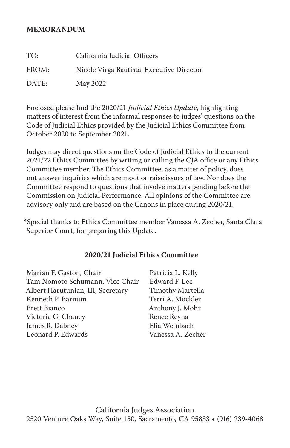#### **MEMORANDUM**

| TO:   | California Judicial Officers              |
|-------|-------------------------------------------|
| FROM: | Nicole Virga Bautista, Executive Director |
| DATE: | May 2022                                  |

Enclosed please find the 2020/21 *Judicial Ethics Update*, highlighting matters of interest from the informal responses to judges' questions on the Code of Judicial Ethics provided by the Judicial Ethics Committee from October 2020 to September 2021.

Judges may direct questions on the Code of Judicial Ethics to the current 2021/22 Ethics Committee by writing or calling the CJA office or any Ethics Committee member. The Ethics Committee, as a matter of policy, does not answer inquiries which are moot or raise issues of law. Nor does the Committee respond to questions that involve matters pending before the Commission on Judicial Performance. All opinions of the Committee are advisory only and are based on the Canons in place during 2020/21.

\*Special thanks to Ethics Committee member Vanessa A. Zecher, Santa Clara Superior Court, for preparing this Update.

#### **2020/21 Judicial Ethics Committee**

Marian F. Gaston, Chair Tam Nomoto Schumann, Vice Chair Albert Harutunian, III, Secretary Kenneth P. Barnum Brett Bianco Victoria G. Chaney James R. Dabney Leonard P. Edwards

Patricia L. Kelly Edward F. Lee Timothy Martella Terri A. Mockler Anthony J. Mohr Renee Reyna Elia Weinbach Vanessa A. Zecher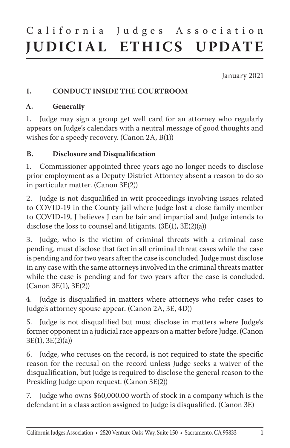# California Judges Association **JUDICIAL ETHICS UPDATE**

January 2021

### **I. CONDUCT INSIDE THE COURTROOM**

#### **A. Generally**

1. Judge may sign a group get well card for an attorney who regularly appears on Judge's calendars with a neutral message of good thoughts and wishes for a speedy recovery. (Canon 2A, B(1))

#### **B. Disclosure and Disqualification**

1. Commissioner appointed three years ago no longer needs to disclose prior employment as a Deputy District Attorney absent a reason to do so in particular matter. (Canon 3E(2))

2. Judge is not disqualified in writ proceedings involving issues related to COVID-19 in the County jail where Judge lost a close family member to COVID-19, J believes J can be fair and impartial and Judge intends to disclose the loss to counsel and litigants. (3E(1), 3E(2)(a))

3. Judge, who is the victim of criminal threats with a criminal case pending, must disclose that fact in all criminal threat cases while the case is pending and for two years after the case is concluded. Judge must disclose in any case with the same attorneys involved in the criminal threats matter while the case is pending and for two years after the case is concluded. (Canon 3E(1), 3E(2))

4. Judge is disqualified in matters where attorneys who refer cases to Judge's attorney spouse appear. (Canon 2A, 3E, 4D))

5. Judge is not disqualified but must disclose in matters where Judge's former opponent in a judicial race appears on a matter before Judge. (Canon 3E(1), 3E(2)(a))

6. Judge, who recuses on the record, is not required to state the specific reason for the recusal on the record unless Judge seeks a waiver of the disqualification, but Judge is required to disclose the general reason to the Presiding Judge upon request. (Canon 3E(2))

7. Judge who owns \$60,000.00 worth of stock in a company which is the defendant in a class action assigned to Judge is disqualified. (Canon 3E)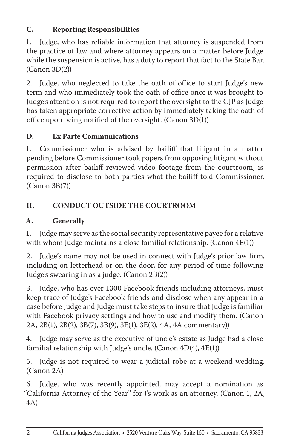# **C. Reporting Responsibilities**

1. Judge, who has reliable information that attorney is suspended from the practice of law and where attorney appears on a matter before Judge while the suspension is active, has a duty to report that fact to the State Bar.  $(Canon 3D(2))$ 

2. Judge, who neglected to take the oath of office to start Judge's new term and who immediately took the oath of office once it was brought to Judge's attention is not required to report the oversight to the CJP as Judge has taken appropriate corrective action by immediately taking the oath of office upon being notified of the oversight. (Canon 3D(1))

## **D. Ex Parte Communications**

1. Commissioner who is advised by bailiff that litigant in a matter pending before Commissioner took papers from opposing litigant without permission after bailiff reviewed video footage from the courtroom, is required to disclose to both parties what the bailiff told Commissioner. (Canon 3B(7))

## **II. CONDUCT OUTSIDE THE COURTROOM**

## **A. Generally**

1. Judge may serve as the social security representative payee for a relative with whom Judge maintains a close familial relationship. (Canon 4E(1))

2. Judge's name may not be used in connect with Judge's prior law firm, including on letterhead or on the door, for any period of time following Judge's swearing in as a judge. (Canon 2B(2))

3. Judge, who has over 1300 Facebook friends including attorneys, must keep trace of Judge's Facebook friends and disclose when any appear in a case before Judge and Judge must take steps to insure that Judge is familiar with Facebook privacy settings and how to use and modify them. (Canon 2A, 2B(1), 2B(2), 3B(7), 3B(9), 3E(1), 3E(2), 4A, 4A commentary))

4. Judge may serve as the executive of uncle's estate as Judge had a close familial relationship with Judge's uncle. (Canon  $4D(4)$ ,  $4E(1)$ )

5. Judge is not required to wear a judicial robe at a weekend wedding. (Canon 2A)

6. Judge, who was recently appointed, may accept a nomination as "California Attorney of the Year" for J's work as an attorney. (Canon 1, 2A, 4A)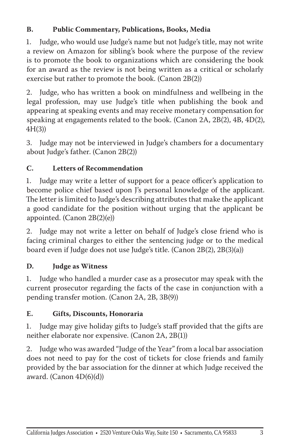## **B. Public Commentary, Publications, Books, Media**

1. Judge, who would use Judge's name but not Judge's title, may not write a review on Amazon for sibling's book where the purpose of the review is to promote the book to organizations which are considering the book for an award as the review is not being written as a critical or scholarly exercise but rather to promote the book. (Canon 2B(2))

2. Judge, who has written a book on mindfulness and wellbeing in the legal profession, may use Judge's title when publishing the book and appearing at speaking events and may receive monetary compensation for speaking at engagements related to the book. (Canon 2A, 2B(2), 4B, 4D(2), 4H(3))

3. Judge may not be interviewed in Judge's chambers for a documentary about Judge's father. (Canon 2B(2))

# **C. Letters of Recommendation**

1. Judge may write a letter of support for a peace officer's application to become police chief based upon J's personal knowledge of the applicant. The letter is limited to Judge's describing attributes that make the applicant a good candidate for the position without urging that the applicant be appointed. (Canon 2B(2)(e))

2. Judge may not write a letter on behalf of Judge's close friend who is facing criminal charges to either the sentencing judge or to the medical board even if Judge does not use Judge's title. (Canon 2B(2), 2B(3)(a))

## **D. Judge as Witness**

1. Judge who handled a murder case as a prosecutor may speak with the current prosecutor regarding the facts of the case in conjunction with a pending transfer motion. (Canon 2A, 2B, 3B(9))

### **E. Gifts, Discounts, Honoraria**

1. Judge may give holiday gifts to Judge's staff provided that the gifts are neither elaborate nor expensive. (Canon 2A, 2B(1))

2. Judge who was awarded "Judge of the Year" from a local bar association does not need to pay for the cost of tickets for close friends and family provided by the bar association for the dinner at which Judge received the award. (Canon  $4D(6)(d)$ )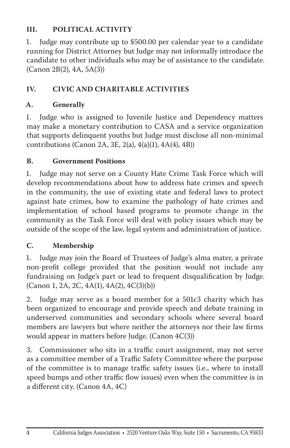## **III. POLITICAL ACTIVITY**

1. Judge may contribute up to \$500.00 per calendar year to a candidate running for District Attorney but Judge may not informally introduce the candidate to other individuals who may be of assistance to the candidate. (Canon 2B(2), 4A, 5A(3))

## **IV. CIVIC AND CHARITABLE ACTIVITIES**

## **A. Generally**

1. Judge who is assigned to Juvenile Justice and Dependency matters may make a monetary contribution to CASA and a service organization that supports delinquent youths but Judge must disclose all non-minimal contributions (Canon 2A, 3E, 2(a), 4(a)(1), 4A(4), 4B))

### **B. Government Positions**

1. Judge may not serve on a County Hate Crime Task Force which will develop recommendations about how to address hate crimes and speech in the community, the use of existing state and federal laws to protect against hate crimes, how to examine the pathology of hate crimes and implementation of school based programs to promote change in the community as the Task Force will deal with policy issues which may be outside of the scope of the law, legal system and administration of justice.

### **C. Membership**

1. Judge may join the Board of Trustees of Judge's alma mater, a private non-profit college provided that the position would not include any fundraising on Judge's part or lead to frequent disqualification by Judge. (Canon 1, 2A, 2C, 4A(1), 4A(2), 4C(3)(b))

2. Judge may serve as a board member for a 501c3 charity which has been organized to encourage and provide speech and debate training in underserved communities and secondary schools where several board members are lawyers but where neither the attorneys nor their law firms would appear in matters before Judge. (Canon 4C(3))

3. Commissioner who sits in a traffic court assignment, may not serve as a committee member of a Traffic Safety Committee where the purpose of the committee is to manage traffic safety issues (i.e., where to install speed bumps and other traffic flow issues) even when the committee is in a different city. (Canon 4A, 4C)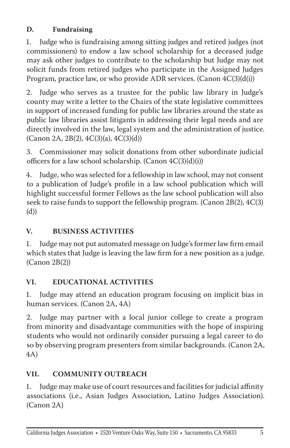# **D. Fundraising**

1. Judge who is fundraising among sitting judges and retired judges (not commissioners) to endow a law school scholarship for a deceased judge may ask other judges to contribute to the scholarship but Judge may not solicit funds from retired judges who participate in the Assigned Judges Program, practice law, or who provide ADR services. (Canon 4C(3)(d(i))

2. Judge who serves as a trustee for the public law library in Judge's county may write a letter to the Chairs of the state legislative committees in support of increased funding for public law libraries around the state as public law libraries assist litigants in addressing their legal needs and are directly involved in the law, legal system and the administration of justice.  $(Canon\ 2A, 2B(2), 4C(3)(a), 4C(3)(d))$ 

3. Commissioner may solicit donations from other subordinate judicial officers for a law school scholarship. (Canon 4C(3)(d)(i))

4. Judge, who was selected for a fellowship in law school, may not consent to a publication of Judge's profile in a law school publication which will highlight successful former Fellows as the law school publication will also seek to raise funds to support the fellowship program. (Canon 2B(2), 4C(3) (d))

## **V. BUSINESS ACTIVITIES**

1. Judge may not put automated message on Judge's former law firm email which states that Judge is leaving the law firm for a new position as a judge. (Canon 2B(2))

## **VI. EDUCATIONAL ACTIVITIES**

1. Judge may attend an education program focusing on implicit bias in human services. (Canon 2A, 4A)

2. Judge may partner with a local junior college to create a program from minority and disadvantage communities with the hope of inspiring students who would not ordinarily consider pursuing a legal career to do so by observing program presenters from similar backgrounds. (Canon 2A, 4A)

## **VII. COMMUNITY OUTREACH**

1. Judge may make use of court resources and facilities for judicial affinity associations (i.e., Asian Judges Association, Latino Judges Association). (Canon 2A)